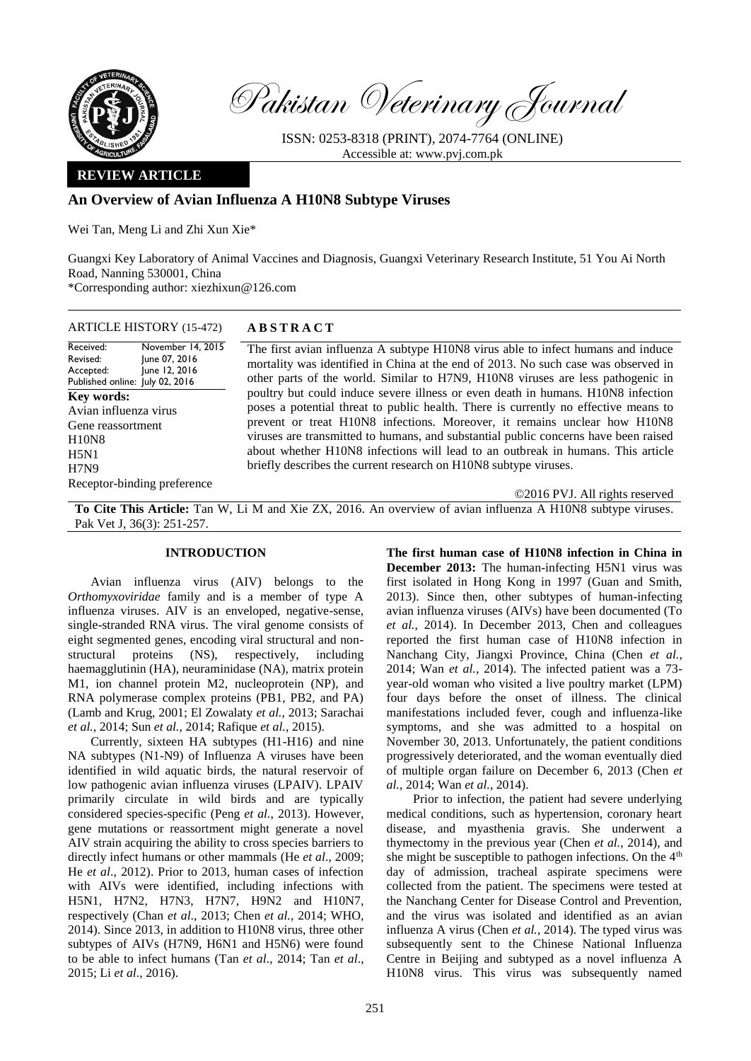

Pakistan Veterinary Journal

ISSN: 0253-8318 (PRINT), 2074-7764 (ONLINE) Accessible at: [www.pvj.com.pk](http://www.pvj.com.pk/)

# **REVIEW ARTICLE**

# **An Overview of Avian Influenza A H10N8 Subtype Viruses**

Wei Tan, Meng Li and Zhi Xun Xie\*

Guangxi Key Laboratory of Animal Vaccines and Diagnosis, Guangxi Veterinary Research Institute, 51 You Ai North Road, Nanning 530001, China \*Corresponding author: xiezhixun@126.com

ARTICLE HISTORY (15-472) **A B S T R A C T**

Received: Revised: Accepted: Published online: July 02, 2016 November 14, 2015 June 07, 2016 June 12, 2016 **Key words:**  Avian influenza virus Gene reassortment H10N8 H5N1 H7N9 Receptor-binding preference

The first avian influenza A subtype H10N8 virus able to infect humans and induce mortality was identified in China at the end of 2013. No such case was observed in other parts of the world. Similar to H7N9, H10N8 viruses are less pathogenic in poultry but could induce severe illness or even death in humans. H10N8 infection poses a potential threat to public health. There is currently no effective means to prevent or treat H10N8 infections. Moreover, it remains unclear how H10N8 viruses are transmitted to humans, and substantial public concerns have been raised about whether H10N8 infections will lead to an outbreak in humans. This article briefly describes the current research on H10N8 subtype viruses.

**To Cite This Article:** Tan W, Li M and Xie ZX, 2016. An overview of avian influenza A H10N8 subtype viruses. Pak Vet J, 36(3): 251-257.

# **INTRODUCTION**

Avian influenza virus (AIV) belongs to the *Orthomyxoviridae* family and is a member of type A influenza viruses. AIV is an enveloped, negative-sense, single-stranded RNA virus. The viral genome consists of eight segmented genes, encoding viral structural and nonstructural proteins (NS), respectively, including haemagglutinin (HA), neuraminidase (NA), matrix protein M1, ion channel protein M2, nucleoprotein (NP), and RNA polymerase complex proteins (PB1, PB2, and PA) (Lamb and Krug, 2001; El Zowalaty *et al.*, 2013; Sarachai *et al.*, 2014; Sun *et al.*, 2014; Rafique *et al.*, 2015).

Currently, sixteen HA subtypes (H1-H16) and nine NA subtypes (N1-N9) of Influenza A viruses have been identified in wild aquatic birds, the natural reservoir of low pathogenic avian influenza viruses (LPAIV). LPAIV primarily circulate in wild birds and are typically considered species-specific (Peng *et al.*, 2013). However, gene mutations or reassortment might generate a novel AIV strain acquiring the ability to cross species barriers to directly infect humans or other mammals (He *et al*., 2009; He *et al*., 2012). Prior to 2013, human cases of infection with AIVs were identified, including infections with H5N1, H7N2, H7N3, H7N7, H9N2 and H10N7, respectively (Chan *et al*., 2013; Chen *et al.*, 2014; WHO, 2014). Since 2013, in addition to H10N8 virus, three other subtypes of AIVs (H7N9, H6N1 and H5N6) were found to be able to infect humans (Tan *et al*., 2014; Tan *et al*., 2015; Li *et al*., 2016).

**The first human case of H10N8 infection in China in December 2013:** The human-infecting H5N1 virus was first isolated in Hong Kong in 1997 (Guan and Smith, 2013). Since then, other subtypes of human-infecting avian influenza viruses (AIVs) have been documented (To *et al.*, 2014). In December 2013, Chen and colleagues reported the first human case of H10N8 infection in Nanchang City, Jiangxi Province, China (Chen *et al.*, 2014; Wan *et al.*, 2014). The infected patient was a 73 year-old woman who visited a live poultry market (LPM) four days before the onset of illness. The clinical manifestations included fever, cough and influenza-like symptoms, and she was admitted to a hospital on November 30, 2013. Unfortunately, the patient conditions progressively deteriorated, and the woman eventually died of multiple organ failure on December 6, 2013 (Chen *et al.*, 2014; Wan *et al.*, 2014).

©2016 PVJ. All rights reserved

Prior to infection, the patient had severe underlying medical conditions, such as hypertension, coronary heart disease, and myasthenia gravis. She underwent a thymectomy in the previous year (Chen *et al.*, 2014), and she might be susceptible to pathogen infections. On the  $4<sup>th</sup>$ day of admission, tracheal aspirate specimens were collected from the patient. The specimens were tested at the Nanchang Center for Disease Control and Prevention, and the virus was isolated and identified as an avian influenza A virus (Chen *et al.*, 2014). The typed virus was subsequently sent to the Chinese National Influenza Centre in Beijing and subtyped as a novel influenza A H10N8 virus. This virus was subsequently named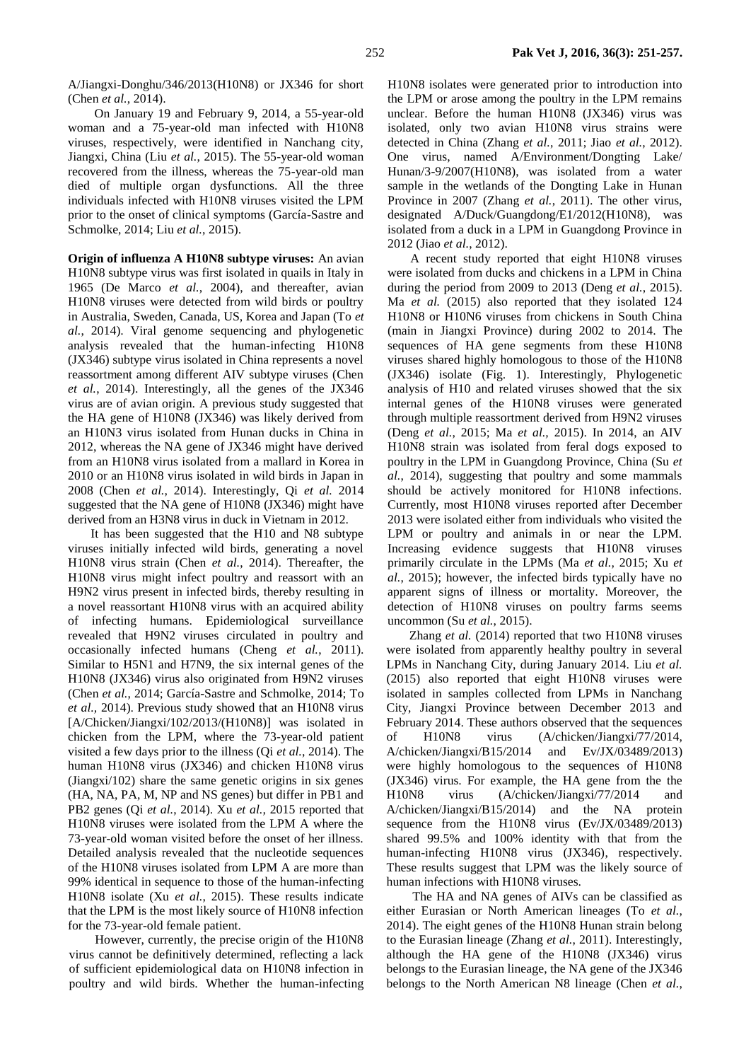A/Jiangxi-Donghu/346/2013(H10N8) or JX346 for short (Chen *et al.*, 2014).

On January 19 and [February](file:///E:/place-in-press/Place-in-Press-II/AppData/Local/Microsoft/Windows/li/AppData/Local/Yodao/DeskDict/frame/20150803184411/javascript:void(0);) 9, 2014, a 55-year-old woman and a 75-year-old man infected with H10N8 viruses, respectively, were identified in Nanchang city, Jiangxi, China (Liu *et al.*, 2015). The 55-year-old woman recovered from the illness, whereas the 75-year-old man died of multiple organ dysfunctions. All the three individuals infected with H10N8 viruses visited the LPM prior to the onset of clinical symptoms (García-Sastre and Schmolke, 2014; Liu *et al.*, 2015).

**Origin of influenza A H10N8 subtype viruses:** An avian H10N8 subtype virus was first isolated in quails in Italy in 1965 (De Marco *et al.*, 2004), and thereafter, avian H10N8 viruses were detected from wild birds or poultry in Australia, Sweden, Canada, US, Korea and Japan (To *et al.*, 2014). Viral genome sequencing and phylogenetic analysis revealed that the human-infecting H10N8 (JX346) subtype virus isolated in China represents a novel reassortment among different AIV subtype viruses (Chen *et al.*, 2014). Interestingly, all the genes of the JX346 virus are of avian origin. A previous study suggested that the HA gene of H10N8 (JX346) was likely derived from an H10N3 virus isolated from Hunan ducks in China in 2012, whereas the NA gene of JX346 might have derived from an H10N8 virus isolated from a mallard in Korea in 2010 or an H10N8 virus isolated in wild birds in Japan in 2008 (Chen *et al.*, 2014). Interestingly, Qi *et al.* 2014 suggested that the NA gene of H10N8 (JX346) might have derived from an H3N8 virus in duck in Vietnam in 2012.

It has been suggested that the H10 and N8 subtype viruses initially infected wild birds, generating a novel H10N8 virus strain (Chen *et al.*, 2014). Thereafter, the H10N8 virus might infect poultry and reassort with an H9N2 virus present in infected birds, thereby resulting in a novel reassortant H10N8 virus with an acquired ability of infecting humans. Epidemiological surveillance revealed that H9N2 viruses circulated in poultry and occasionally infected humans (Cheng *et al.*, 2011). Similar to H5N1 and H7N9, the six internal genes of the H10N8 (JX346) virus also originated from H9N2 viruses (Chen *et al.*, 2014; García-Sastre and Schmolke, 2014; To *et al.,* 2014). Previous study showed that an H10N8 virus [A/Chicken/Jiangxi/102/2013/(H10N8)] was isolated in chicken from the LPM, where the 73-year-old patient visited a few days prior to the illness (Qi *et al.*, 2014). The human H10N8 virus (JX346) and chicken H10N8 virus (Jiangxi/102) share the same genetic origins in six genes (HA, NA, PA, M, NP and NS genes) but differ in PB1 and PB2 genes (Qi *et al.*, 2014). Xu *et al.,* 2015 reported that H10N8 viruses were isolated from the LPM A where the 73-year-old woman visited before the onset of her illness. Detailed analysis revealed that the nucleotide sequences of the H10N8 viruses isolated from LPM A are more than 99% identical in sequence to those of the human-infecting H10N8 isolate (Xu *et al.*, 2015). These results indicate that the LPM is the most likely source of H10N8 infection for the 73-year-old female patient.

However, currently, the precise origin of the H10N8 virus cannot be definitively determined, reflecting a lack of sufficient epidemiological data on H10N8 infection in poultry and wild birds. Whether the human-infecting H10N8 isolates were generated prior to introduction into the LPM or arose among the poultry in the LPM remains unclear. Before the human H10N8 (JX346) virus was isolated, only two avian H10N8 virus strains were detected in China (Zhang *et al.*, 2011; Jiao *et al.*, 2012). One virus, named A/Environment/Dongting Lake/ Hunan/3-9/2007(H10N8), was isolated from a water sample in the wetlands of the Dongting Lake in Hunan Province in 2007 (Zhang *et al.*, 2011). The other virus, designated A/Duck/Guangdong/E1/2012(H10N8), was isolated from a duck in a LPM in Guangdong Province in 2012 (Jiao *et al.*, 2012).

A recent study reported that eight H10N8 viruses were isolated from ducks and chickens in a LPM in China during the period from 2009 to 2013 (Deng *et al.*, 2015). Ma *et al.* (2015) also reported that they isolated 124 H10N8 or H10N6 viruses from chickens in South China (main in Jiangxi Province) during 2002 to 2014. The sequences of HA gene segments from these H10N8 viruses shared highly homologous to those of the H10N8 (JX346) isolate (Fig. 1). Interestingly, Phylogenetic analysis of H10 and related viruses showed that the six internal genes of the H10N8 viruses were generated through multiple reassortment derived from H9N2 viruses (Deng *et al.*, 2015; Ma *et al.,* 2015). In 2014, an AIV H10N8 strain was isolated from feral dogs exposed to poultry in the LPM in Guangdong Province, China (Su *et al.*, 2014), suggesting that poultry and some mammals should be actively monitored for H10N8 infections. Currently, most H10N8 viruses reported after December 2013 were isolated either from individuals who visited the LPM or poultry and animals in or near the LPM. Increasing evidence suggests that H10N8 viruses primarily circulate in the LPMs (Ma *et al.,* 2015; Xu *et al.*, 2015); however, the infected birds typically have no apparent signs of illness or mortality. Moreover, the detection of H10N8 viruses on poultry farms seems uncommon (Su *et al.*, 2015).

Zhang *et al.* (2014) reported that two H10N8 viruses were isolated from apparently healthy poultry in several LPMs in Nanchang City, during January 2014. Liu *et al.*  (2015) also reported that eight H10N8 viruses were isolated in samples collected from LPMs in Nanchang City, Jiangxi Province between December 2013 and February 2014. These authors observed that the sequences of H10N8 virus (A/chicken/Jiangxi/77/2014, A/chicken/Jiangxi/B15/2014 and Ev/JX/03489/2013) were highly homologous to the sequences of H10N8 (JX346) virus. For example, the HA gene from the the H10N8 virus (A/chicken/Jiangxi/77/2014 and A/chicken/Jiangxi/B15/2014) and the NA protein sequence from the H10N8 virus (Ev/JX/03489/2013) shared 99.5% and 100% identity with that from the human-infecting H10N8 virus (JX346), respectively. These results suggest that LPM was the likely source of human infections with H10N8 viruses.

The HA and NA genes of AIVs can be classified as either Eurasian or North American lineages (To *et al.*, 2014). The eight genes of the H10N8 Hunan strain belong to the Eurasian lineage (Zhang *et al.*, 2011). Interestingly, although the HA gene of the H10N8 (JX346) virus belongs to the Eurasian lineage, the NA gene of the JX346 belongs to the North American N8 lineage (Chen *et al.*,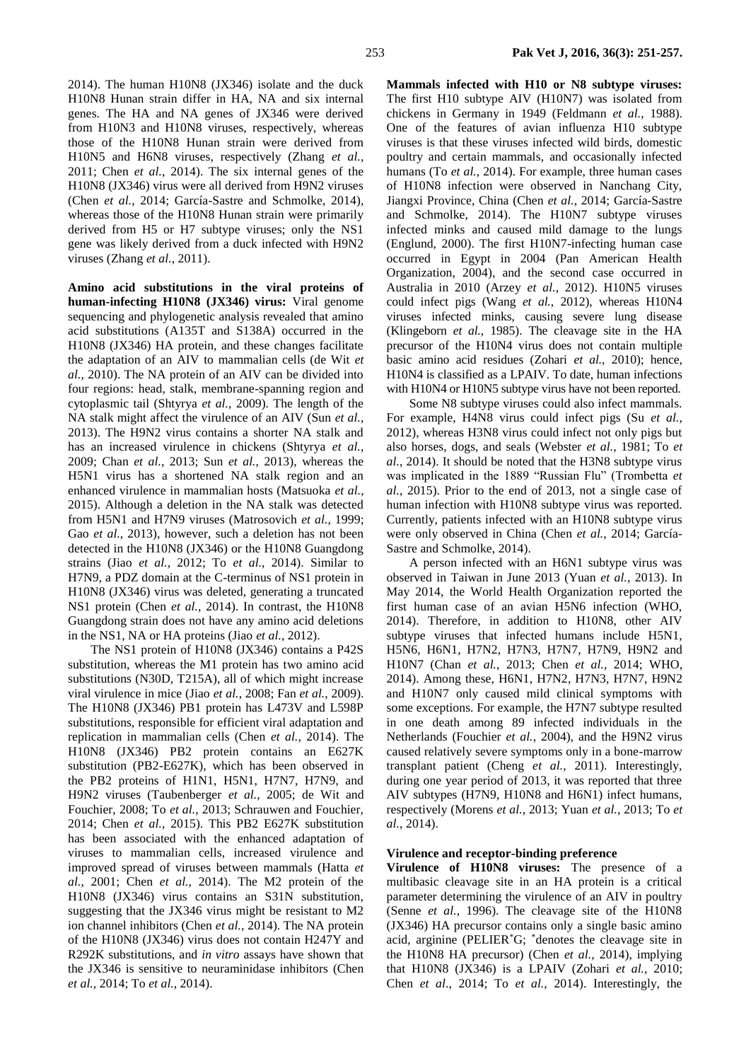2014). The human H10N8 (JX346) isolate and the duck H10N8 Hunan strain differ in HA, NA and six internal genes. The HA and NA genes of JX346 were derived from H10N3 and H10N8 viruses, respectively, whereas those of the H10N8 Hunan strain were derived from H10N5 and H6N8 viruses, respectively (Zhang *et al.*, 2011; Chen *et al.*, 2014). The six internal genes of the H10N8 (JX346) virus were all derived from H9N2 viruses (Chen *et al.*, 2014; García-Sastre and Schmolke, 2014), whereas those of the H10N8 Hunan strain were primarily derived from H5 or H7 subtype viruses; only the NS1 gene was likely derived from a duck infected with H9N2 viruses (Zhang *et al.*, 2011).

**Amino acid substitutions in the viral proteins of human-infecting H10N8 (JX346) virus:** Viral genome sequencing and phylogenetic analysis revealed that amino acid substitutions (A135T and S138A) occurred in the H10N8 (JX346) HA protein, and these changes facilitate the adaptation of an AIV to mammalian cells (de Wit *et al.*, 2010). The NA protein of an AIV can be divided into four regions: head, stalk, membrane-spanning region and cytoplasmic tail (Shtyrya *et al.*, 2009). The length of the NA stalk might affect the virulence of an AIV (Sun *et al.*, 2013). The H9N2 virus contains a shorter NA stalk and has an increased virulence in chickens (Shtyrya *et al.*, 2009; Chan *et al.*, 2013; Sun *et al.*, 2013), whereas the H5N1 virus has a shortened NA stalk region and an enhanced virulence in mammalian hosts (Matsuoka *et al.*, 2015). Although a deletion in the NA stalk was detected from H5N1 and H7N9 viruses (Matrosovich *et al.*, 1999; Gao *et al.*, 2013), however, such a deletion has not been detected in the H10N8 (JX346) or the H10N8 Guangdong strains (Jiao *et al.*, 2012; To *et al.*, 2014). Similar to H7N9, a PDZ domain at the C-terminus of NS1 protein in H10N8 (JX346) virus was deleted, generating a truncated NS1 protein (Chen *et al.*, 2014). In contrast, the H10N8 Guangdong strain does not have any amino acid deletions in the NS1, NA or HA proteins (Jiao *et al.*, 2012).

The NS1 protein of H10N8 (JX346) contains a P42S substitution, whereas the M1 protein has two amino acid substitutions (N30D, T215A), all of which might increase viral virulence in mice (Jiao *et al.*, 2008; Fan *et al.*, 2009). The H10N8 (JX346) PB1 protein has L473V and L598P substitutions, responsible for efficient viral adaptation and replication in mammalian cells (Chen *et al.*, 2014). The H10N8 (JX346) PB2 protein contains an E627K substitution (PB2-E627K), which has been observed in the PB2 proteins of H1N1, H5N1, H7N7, H7N9, and H9N2 viruses (Taubenberger *et al.*, 2005; de Wit and Fouchier, 2008; To *et al.*, 2013; Schrauwen and Fouchier, 2014; Chen *et al.*, 2015). This PB2 E627K substitution has been associated with the enhanced adaptation of viruses to mammalian cells, increased virulence and improved spread of viruses between mammals (Hatta *et al.*, 2001; Chen *et al.*, 2014). The M2 protein of the H10N8 (JX346) virus contains an S31N substitution, suggesting that the JX346 virus might be resistant to M2 ion channel inhibitors (Chen *et al.*, 2014). The NA protein of the H10N8 (JX346) virus does not contain H247Y and R292K substitutions, and *in vitro* assays have shown that the JX346 is sensitive to neuraminidase inhibitors (Chen *et al.*, 2014; To *et al.*, 2014).

**Mammals infected with H10 or N8 subtype viruses:**  The first H10 subtype AIV (H10N7) was isolated from chickens in Germany in 1949 (Feldmann *et al.*, 1988). One of the features of avian influenza H10 subtype viruses is that these viruses infected wild birds, domestic poultry and certain mammals, and occasionally infected humans (To *et al.*, 2014). For example, three human cases of H10N8 infection were observed in Nanchang City, Jiangxi Province, China (Chen *et al.*, 2014; García-Sastre and Schmolke, 2014). The H10N7 subtype viruses infected minks and caused mild damage to the lungs (Englund, 2000). The first H10N7-infecting human case occurred in Egypt in 2004 (Pan American Health Organization, 2004), and the second case occurred in Australia in 2010 (Arzey *et al.*, 2012). H10N5 viruses could infect pigs (Wang *et al.*, 2012), whereas H10N4 viruses infected minks, causing severe lung disease (Klingeborn *et al.*, 1985). The cleavage site in the HA precursor of the H10N4 virus does not contain multiple basic amino acid residues (Zohari *et al.*, 2010); hence, H10N4 is classified as a LPAIV. To date, human infections with H10N4 or H10N5 subtype virus have not been reported.

Some N8 subtype viruses could also infect mammals. For example, H4N8 virus could infect pigs (Su *et al.*, 2012), whereas H3N8 virus could infect not only pigs but also horses, dogs, and seals (Webster *et al.*, 1981; To *et al.*, 2014). It should be noted that the H3N8 subtype virus was implicated in the 1889 "Russian Flu" (Trombetta *et al.*, 2015). Prior to the end of 2013, not a single case of human infection with H10N8 subtype virus was reported. Currently, patients infected with an H10N8 subtype virus were only observed in China (Chen *et al.*, 2014; García-Sastre and Schmolke, 2014).

A person infected with an H6N1 subtype virus was observed in Taiwan in June 2013 (Yuan *et al.*, 2013). In May 2014, the World Health Organization reported the first human case of an avian H5N6 infection (WHO, 2014). Therefore, in addition to H10N8, other AIV subtype viruses that infected humans include H5N1, H5N6, H6N1, H7N2, H7N3, H7N7, H7N9, H9N2 and H10N7 (Chan *et al.*, 2013; Chen *et al.*, 2014; WHO, 2014). Among these, H6N1, H7N2, H7N3, H7N7, H9N2 and H10N7 only caused mild clinical symptoms with some exceptions. For example, the H7N7 subtype resulted in one death among 89 infected individuals in the Netherlands (Fouchier *et al.*, 2004), and the H9N2 virus caused relatively severe symptoms only in a bone-marrow transplant patient (Cheng *et al.*, 2011). Interestingly, during one year period of 2013, it was reported that three AIV subtypes (H7N9, H10N8 and H6N1) infect humans, respectively (Morens *et al.*, 2013; Yuan *et al.*, 2013; To *et al.*, 2014).

#### **Virulence and receptor-binding preference**

**Virulence of H10N8 viruses:** The presence of a multibasic cleavage site in an HA protein is a critical parameter determining the virulence of an AIV in poultry (Senne *et al.*, 1996). The cleavage site of the H10N8 (JX346) HA precursor contains only a single basic amino acid, arginine (PELIER\*G; \*denotes the cleavage site in the H10N8 HA precursor) (Chen *et al.*, 2014), implying that H10N8 (JX346) is a LPAIV (Zohari *et al.*, 2010; Chen *et al*., 2014; To *et al.*, 2014). Interestingly, the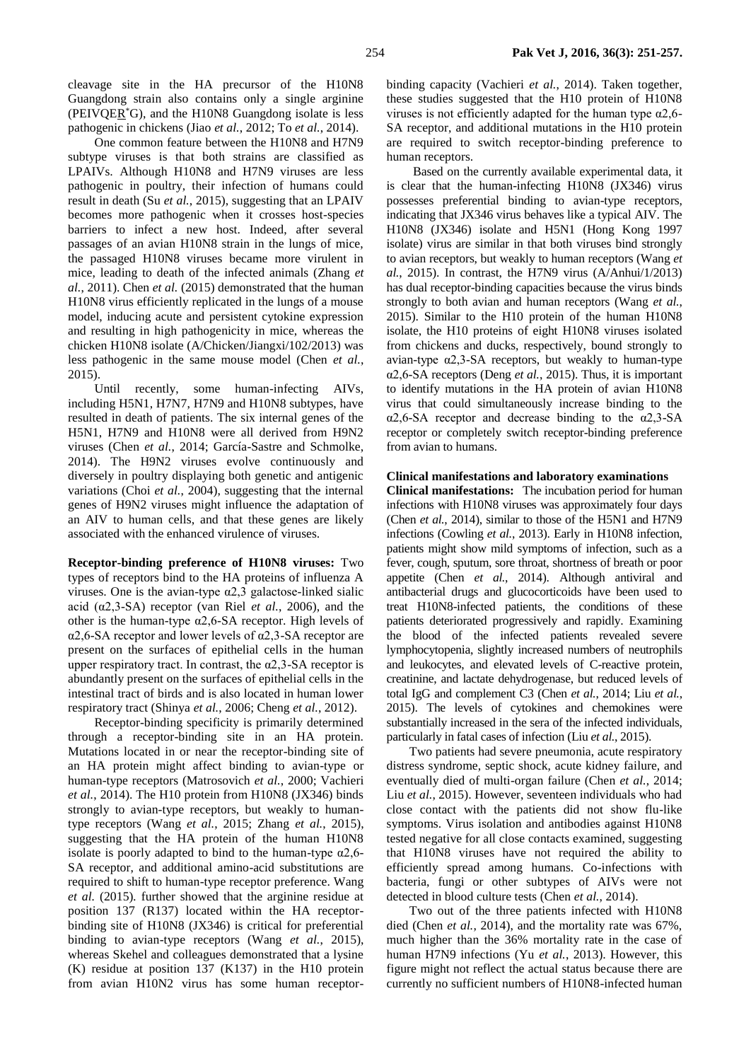cleavage site in the HA precursor of the H10N8 Guangdong strain also contains only a single arginine (PEIVQE $\mathbb{R}^*$ G), and the H10N8 Guangdong isolate is less pathogenic in chickens (Jiao *et al.*, 2012; To *et al.*, 2014).

One common feature between the H10N8 and H7N9 subtype viruses is that both strains are classified as LPAIVs. Although H10N8 and H7N9 viruses are less pathogenic in poultry, their infection of humans could result in death (Su *et al.*, 2015), suggesting that an LPAIV becomes more pathogenic when it crosses host-species barriers to infect a new host. Indeed, after several passages of an avian H10N8 strain in the lungs of mice, the passaged H10N8 viruses became more virulent in mice, leading to death of the infected animals (Zhang *et al.*, 2011). Chen *et al.* (2015) demonstrated that the human H10N8 virus efficiently replicated in the lungs of a mouse model, inducing acute and persistent cytokine expression and resulting in high pathogenicity in mice, whereas the chicken H10N8 isolate (A/Chicken/Jiangxi/102/2013) was less pathogenic in the same mouse model (Chen *et al.*, 2015).

Until recently, some human-infecting AIVs, including H5N1, H7N7, H7N9 and H10N8 subtypes, have resulted in death of patients. The six internal genes of the H5N1, H7N9 and H10N8 were all derived from H9N2 viruses (Chen *et al.*, 2014; García-Sastre and Schmolke, 2014). The H9N2 viruses evolve continuously and diversely in poultry displaying both genetic and antigenic variations (Choi *et al.*, 2004), suggesting that the internal genes of H9N2 viruses might influence the adaptation of an AIV to human cells, and that these genes are likely associated with the enhanced virulence of viruses.

**Receptor-binding preference of H10N8 viruses:** Two types of receptors bind to the HA proteins of influenza A viruses. One is the avian-type  $\alpha$ 2,3 galactose-linked sialic acid (α2,3-SA) receptor (van Riel *et al.*, 2006), and the other is the human-type  $\alpha$ 2,6-SA receptor. High levels of α2,6-SA receptor and lower levels of α2,3-SA receptor are present on the surfaces of epithelial cells in the human upper respiratory tract. In contrast, the  $\alpha$ 2,3-SA receptor is abundantly present on the surfaces of epithelial cells in the intestinal tract of birds and is also located in human lower respiratory tract (Shinya *et al.*, 2006; Cheng *et al.*, 2012).

Receptor-binding specificity is primarily determined through a receptor-binding site in an HA protein. Mutations located in or near the receptor-binding site of an HA protein might affect binding to avian-type or human-type receptors (Matrosovich *et al.*, 2000; Vachieri *et al.*, 2014). The H10 protein from H10N8 (JX346) binds strongly to avian-type receptors, but weakly to humantype receptors (Wang *et al.*, 2015; Zhang *et al.*, 2015), suggesting that the HA protein of the human H10N8 isolate is poorly adapted to bind to the human-type  $\alpha$ 2,6-SA receptor, and additional amino-acid substitutions are required to shift to human-type receptor preference. Wang *et al.* (2015)*.* further showed that the arginine residue at position 137 (R137) located within the HA receptorbinding site of H10N8 (JX346) is critical for preferential binding to avian-type receptors (Wang *et al.*, 2015), whereas Skehel and colleagues demonstrated that a lysine (K) residue at position 137 (K137) in the H10 protein from avian H10N2 virus has some human receptorbinding capacity (Vachieri *et al.*, 2014). Taken together, these studies suggested that the H10 protein of H10N8 viruses is not efficiently adapted for the human type  $\alpha$ 2,6-SA receptor, and additional mutations in the H10 protein are required to switch receptor-binding preference to human receptors.

Based on the currently available experimental data, it is clear that the human-infecting H10N8 (JX346) virus possesses preferential binding to avian-type receptors, indicating that JX346 virus behaves like a typical AIV. The H10N8 (JX346) isolate and H5N1 (Hong Kong 1997 isolate) virus are similar in that both viruses bind strongly to avian receptors, but weakly to human receptors (Wang *et al.*, 2015). In contrast, the H7N9 virus (A/Anhui/1/2013) has dual receptor-binding capacities because the virus binds strongly to both avian and human receptors (Wang *et al.*, 2015). Similar to the H10 protein of the human H10N8 isolate, the H10 proteins of eight H10N8 viruses isolated from chickens and ducks, respectively, bound strongly to avian-type α2,3-SA receptors, but weakly to human-type α2,6-SA receptors (Deng *et al.*, 2015). Thus, it is important to identify mutations in the HA protein of avian H10N8 virus that could simultaneously increase binding to the α2,6-SA receptor and decrease binding to the α2,3-SA receptor or completely switch receptor-binding preference from avian to humans.

### **Clinical manifestations and laboratory examinations**

**Clinical manifestations:** The incubation period for human infections with H10N8 viruses was approximately four days (Chen *et al.*, 2014), similar to those of the H5N1 and H7N9 infections (Cowling *et al.*, 2013). Early in H10N8 infection, patients might show mild symptoms of infection, such as a fever, cough, sputum, sore throat, shortness of breath or poor appetite (Chen *et al.*, 2014). Although antiviral and antibacterial drugs and glucocorticoids have been used to treat H10N8-infected patients, the conditions of these patients deteriorated progressively and rapidly. Examining the blood of the infected patients revealed severe lymphocytopenia, slightly increased numbers of neutrophils and leukocytes, and elevated levels of C-reactive protein, creatinine, and lactate dehydrogenase, but reduced levels of total IgG and complement C3 (Chen *et al.*, 2014; Liu *et al.*, 2015). The levels of cytokines and chemokines were substantially increased in the sera of the infected individuals, particularly in fatal cases of infection (Liu *et al.*, 2015).

Two patients had severe pneumonia, acute respiratory distress syndrome, septic shock, acute kidney failure, and eventually died of multi-organ failure (Chen *et al.*, 2014; Liu *et al.*, 2015). However, seventeen individuals who had close contact with the patients did not show flu-like symptoms. Virus isolation and antibodies against H10N8 tested negative for all close contacts examined, suggesting that H10N8 viruses have not required the ability to efficiently spread among humans. Co-infections with bacteria, fungi or other subtypes of AIVs were not detected in blood culture tests (Chen *et al.*, 2014).

Two out of the three patients infected with H10N8 died (Chen *et al.*, 2014), and the mortality rate was 67%, much higher than the 36% mortality rate in the case of human H7N9 infections (Yu *et al.*, 2013). However, this figure might not reflect the actual status because there are currently no sufficient numbers of H10N8-infected human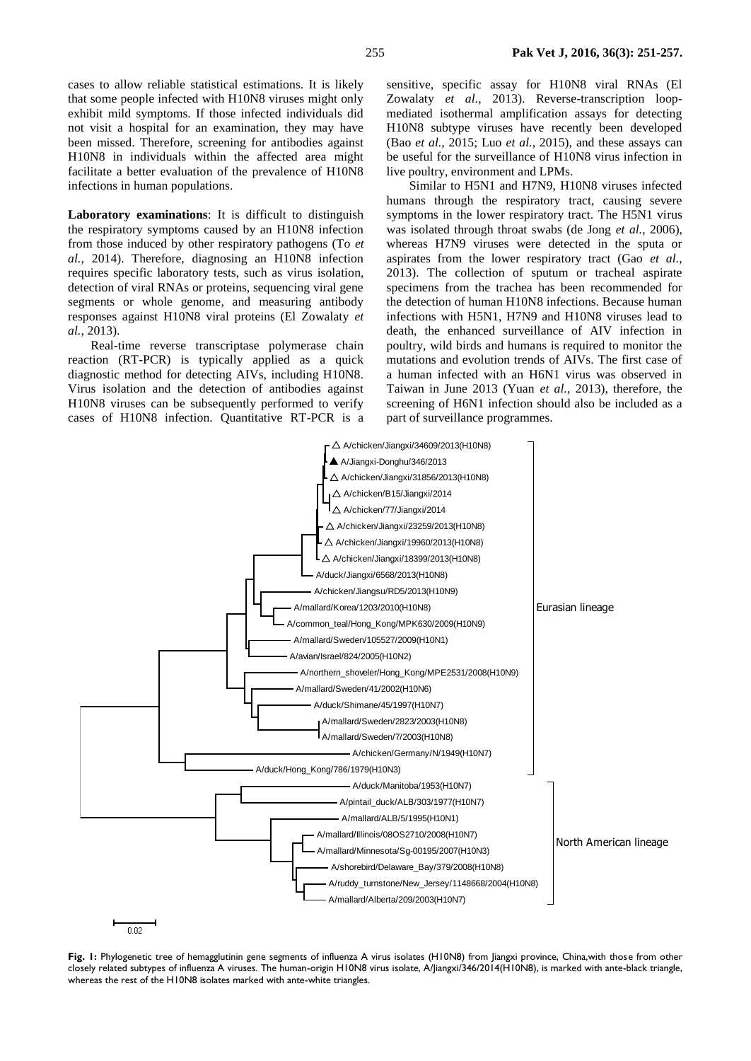cases to allow reliable statistical estimations. It is likely that some people infected with H10N8 viruses might only exhibit mild symptoms. If those infected individuals did not visit a hospital for an examination, they may have been missed. Therefore, screening for antibodies against H10N8 in individuals within the affected area might facilitate a better evaluation of the prevalence of H10N8 infections in human populations.

**Laboratory examinations**: It is difficult to distinguish the respiratory symptoms caused by an H10N8 infection from those induced by other respiratory pathogens (To *et al.*, 2014). Therefore, diagnosing an H10N8 infection requires specific laboratory tests, such as virus isolation, detection of viral RNAs or proteins, sequencing viral gene segments or whole genome, and measuring antibody responses against H10N8 viral proteins (El Zowalaty *et al.*, 2013).

Real-time reverse transcriptase polymerase chain reaction (RT-PCR) is typically applied as a quick diagnostic method for detecting AIVs, including H10N8. Virus isolation and the detection of antibodies against H10N8 viruses can be subsequently performed to verify cases of H10N8 infection. Quantitative RT-PCR is a sensitive, specific assay for H10N8 viral RNAs (El Zowalaty *et al.*, 2013). Reverse-transcription loopmediated isothermal amplification assays for detecting H10N8 subtype viruses have recently been developed (Bao *et al.*, 2015; Luo *et al.*, 2015), and these assays can be useful for the surveillance of H10N8 virus infection in live poultry, environment and LPMs.

Similar to H5N1 and H7N9, H10N8 viruses infected humans through the respiratory tract, causing severe symptoms in the lower respiratory tract. The H5N1 virus was isolated through throat swabs (de Jong *et al.*, 2006), whereas H7N9 viruses were detected in the sputa or aspirates from the lower respiratory tract (Gao *et al.*, 2013). The collection of sputum or tracheal aspirate specimens from the trachea has been recommended for the detection of human H10N8 infections. Because human infections with H5N1, H7N9 and H10N8 viruses lead to death, the enhanced surveillance of AIV infection in poultry, wild birds and humans is required to monitor the mutations and evolution trends of AIVs. The first case of a human infected with an H6N1 virus was observed in Taiwan in June 2013 (Yuan *et al.*, 2013), therefore, the screening of H6N1 infection should also be included as a part of surveillance programmes.



Fig. 1: Phylogenetic tree of hemagglutinin gene segments of influenza A virus isolates (H10N8) from Jiangxi province, China,with those from other closely related subtypes of influenza A viruses. The human-origin H10N8 virus isolate, A/Jiangxi/346/2014(H10N8), is marked with ante-black triangle, whereas the rest of the H10N8 isolates marked with ante-white triangles.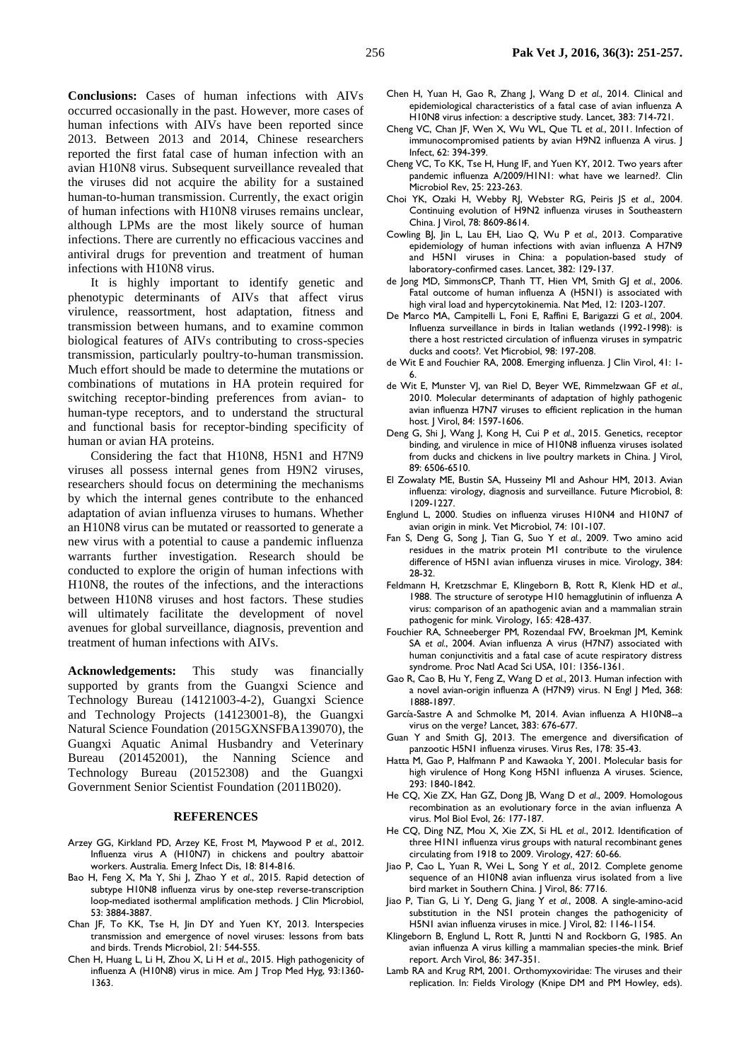**Conclusions:** Cases of human infections with AIVs occurred occasionally in the past. However, more cases of human infections with AIVs have been reported since 2013. Between 2013 and 2014, Chinese researchers reported the first fatal case of human infection with an avian H10N8 virus. Subsequent surveillance revealed that the viruses did not acquire the ability for a sustained human-to-human transmission. Currently, the exact origin of human infections with H10N8 viruses remains unclear, although LPMs are the most likely source of human infections. There are currently no efficacious vaccines and antiviral drugs for prevention and treatment of human infections with H10N8 virus.

It is highly important to identify genetic and phenotypic determinants of AIVs that affect virus virulence, reassortment, host adaptation, fitness and transmission between humans, and to examine common biological features of AIVs contributing to cross-species transmission, particularly poultry-to-human transmission. Much effort should be made to determine the mutations or combinations of mutations in HA protein required for switching receptor-binding preferences from avian- to human-type receptors, and to understand the structural and functional basis for receptor-binding specificity of human or avian HA proteins.

Considering the fact that H10N8, H5N1 and H7N9 viruses all possess internal genes from H9N2 viruses, researchers should focus on determining the mechanisms by which the internal genes contribute to the enhanced adaptation of avian influenza viruses to humans. Whether an H10N8 virus can be mutated or reassorted to generate a new virus with a potential to cause a pandemic influenza warrants further investigation. Research should be conducted to explore the origin of human infections with H10N8, the routes of the infections, and the interactions between H10N8 viruses and host factors. These studies will ultimately facilitate the development of novel avenues for global surveillance, diagnosis, prevention and treatment of human infections with AIVs.

**Acknowledgements:** This study was financially supported by grants from the Guangxi Science and Technology Bureau (14121003-4-2), Guangxi Science and Technology Projects (14123001-8), the Guangxi Natural Science Foundation (2015GXNSFBA139070), the Guangxi Aquatic Animal Husbandry and Veterinary Bureau (201452001), the Nanning Science and Technology Bureau (20152308) and the Guangxi Government Senior Scientist Foundation (2011B020).

#### **REFERENCES**

- Arzey GG, Kirkland PD, Arzey KE, Frost M, Maywood P *et al.*, 2012. Influenza virus A (H10N7) in chickens and poultry abattoir workers. Australia. Emerg Infect Dis, 18: 814-816.
- Bao H, Feng X, Ma Y, Shi J, Zhao Y *et al*., 2015. Rapid detection of subtype H10N8 influenza virus by one-step reverse-transcription loop-mediated isothermal amplification methods. J Clin Microbiol, 53: 3884-3887.
- Chan JF, To KK, Tse H, Jin DY and Yuen KY, 2013. Interspecies transmission and emergence of novel viruses: lessons from bats and birds. Trends Microbiol, 21: 544-555.
- Chen H, Huang L, Li H, Zhou X, Li H *et al*., 2015. High pathogenicity of influenza A (H10N8) virus in mice. Am J Trop Med Hyg, 93:1360- 1363.
- Chen H, Yuan H, Gao R, Zhang J, Wang D *et al.*, 2014. Clinical and epidemiological characteristics of a fatal case of avian influenza A H10N8 virus infection: a descriptive study. Lancet, 383: 714-721.
- Cheng VC, Chan JF, Wen X, Wu WL, Que TL *et al.*, 2011. Infection of immunocompromised patients by avian H9N2 influenza A virus. | Infect, 62: 394-399.
- Cheng VC, To KK, Tse H, Hung IF, and Yuen KY, 2012. Two years after pandemic influenza A/2009/H1N1: what have we learned?. Clin Microbiol Rev, 25: 223-263.
- Choi YK, Ozaki H, Webby RJ, Webster RG, Peiris JS *et al*., 2004. Continuing evolution of H9N2 influenza viruses in Southeastern China. J Virol, 78: 8609-8614.
- Cowling BJ, Jin L, Lau EH, Liao Q, Wu P *et al.*, 2013. Comparative epidemiology of human infections with avian influenza A H7N9 and H5N1 viruses in China: a population-based study of laboratory-confirmed cases. Lancet, 382: 129-137.
- de Jong MD, SimmonsCP, Thanh TT, Hien VM, Smith GJ *et al.*, 2006. Fatal outcome of human influenza A (H5N1) is associated with high viral load and hypercytokinemia. Nat Med, 12: 1203-1207.
- De Marco MA, Campitelli L, Foni E, Raffini E, Barigazzi G *et al.*, 2004. Influenza surveillance in birds in Italian wetlands (1992-1998): is there a host restricted circulation of influenza viruses in sympatric ducks and coots?. Vet Microbiol, 98: 197-208.
- de Wit E and Fouchier RA, 2008. Emerging influenza. J Clin Virol, 41: 1- 6.
- de Wit E, Munster VJ, van Riel D, Beyer WE, Rimmelzwaan GF *et al.*, 2010. Molecular determinants of adaptation of highly pathogenic avian influenza H7N7 viruses to efficient replication in the human host. J Virol, 84: 1597-1606.
- Deng G, Shi J, Wang J, Kong H, Cui P *et al*., 2015. Genetics, receptor binding, and virulence in mice of H10N8 influenza viruses isolated from ducks and chickens in live poultry markets in China. | Virol, 89: 6506-6510.
- El Zowalaty ME, Bustin SA, Husseiny MI and Ashour HM, 2013. Avian influenza: virology, diagnosis and surveillance. Future Microbiol, 8: 1209-1227.
- Englund L, 2000. Studies on influenza viruses H10N4 and H10N7 of avian origin in mink. Vet Microbiol, 74: 101-107.
- Fan S, Deng G, Song J, Tian G, Suo Y *et al.*, 2009. Two amino acid residues in the matrix protein M1 contribute to the virulence difference of H5N1 avian influenza viruses in mice. Virology, 384: 28-32.
- Feldmann H, Kretzschmar E, Klingeborn B, Rott R, Klenk HD *et al*., 1988. The structure of serotype H10 hemagglutinin of influenza A virus: comparison of an apathogenic avian and a mammalian strain pathogenic for mink. Virology, 165: 428-437.
- Fouchier RA, Schneeberger PM, Rozendaal FW, Broekman JM, Kemink SA *et al.*, 2004. Avian influenza A virus (H7N7) associated with human conjunctivitis and a fatal case of acute respiratory distress syndrome. Proc Natl Acad Sci USA, 101: 1356-1361.
- Gao R, Cao B, Hu Y, Feng Z, Wang D *et al.*, 2013. Human infection with a novel avian-origin influenza A (H7N9) virus. N Engl J Med, 368: 1888-1897.
- García-Sastre A and Schmolke M, 2014. Avian influenza A H10N8--a virus on the verge? Lancet, 383: 676-677.
- Guan Y and Smith GJ, 2013. The emergence and diversification of panzootic H5N1 influenza viruses. Virus Res, 178: 35-43.
- Hatta M, Gao P, Halfmann P and Kawaoka Y, 2001. Molecular basis for high virulence of Hong Kong H5N1 influenza A viruses. Science, 293: 1840-1842.
- He CQ, Xie ZX, Han GZ, Dong JB, Wang D *et al*., 2009. Homologous recombination as an evolutionary force in the avian influenza A virus. Mol Biol Evol, 26: 177-187.
- He CQ, Ding NZ, Mou X, Xie ZX, Si HL *et al*., 2012. Identification of three H1N1 influenza virus groups with natural recombinant genes circulating from 1918 to 2009. Virology, 427: 60-66.
- Jiao P, Cao L, Yuan R, Wei L, Song Y *et al.*, 2012. Complete genome sequence of an H10N8 avian influenza virus isolated from a live bird market in Southern China. J Virol, 86: 7716.
- Jiao P, Tian G, Li Y, Deng G, Jiang Y *et al.*, 2008. A single-amino-acid substitution in the NS1 protein changes the pathogenicity of H5N1 avian influenza viruses in mice. J Virol, 82: 1146-1154.
- Klingeborn B, Englund L, Rott R, Juntti N and Rockborn G, 1985. An avian influenza A virus killing a mammalian species-the mink. Brief report. Arch Virol, 86: 347-351.
- Lamb RA and Krug RM, 2001. Orthomyxoviridae: The viruses and their replication. In: Fields Virology (Knipe DM and PM Howley, eds).